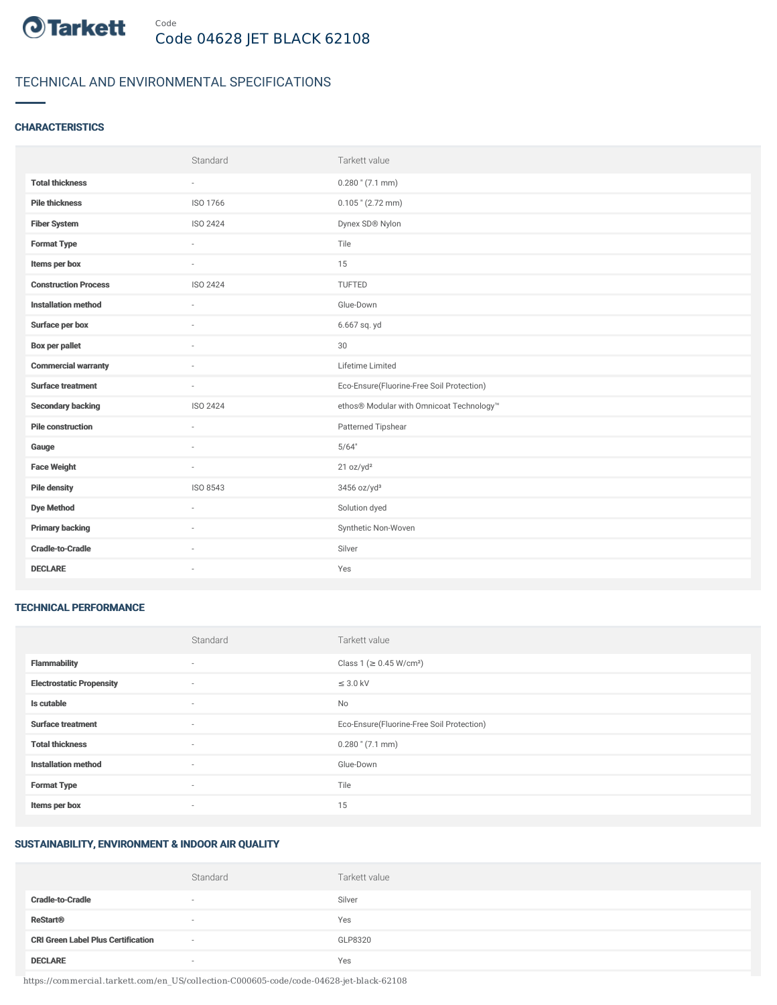

# TECHNICAL AND ENVIRONMENTAL SPECIFICATIONS

## **CHARACTERISTICS**

|                             | Standard                 | Tarkett value                             |
|-----------------------------|--------------------------|-------------------------------------------|
| <b>Total thickness</b>      | $\overline{\phantom{a}}$ | $0.280$ " (7.1 mm)                        |
| <b>Pile thickness</b>       | ISO 1766                 | $0.105$ " (2.72 mm)                       |
| <b>Fiber System</b>         | ISO 2424                 | Dynex SD® Nylon                           |
| <b>Format Type</b>          | $\sim$                   | Tile                                      |
| Items per box               | $\sim$                   | 15                                        |
| <b>Construction Process</b> | <b>ISO 2424</b>          | TUFTED                                    |
| <b>Installation method</b>  | ×                        | Glue-Down                                 |
| Surface per box             | ٠                        | 6.667 sq. yd                              |
| <b>Box per pallet</b>       | $\sim$                   | 30                                        |
| <b>Commercial warranty</b>  |                          | Lifetime Limited                          |
| <b>Surface treatment</b>    | ×.                       | Eco-Ensure(Fluorine-Free Soil Protection) |
| <b>Secondary backing</b>    | <b>ISO 2424</b>          | ethos® Modular with Omnicoat Technology™  |
| <b>Pile construction</b>    | $\sim$                   | Patterned Tipshear                        |
| Gauge                       |                          | 5/64"                                     |
| <b>Face Weight</b>          | $\sim$                   | 21 oz/yd <sup>2</sup>                     |
| <b>Pile density</b>         | ISO 8543                 | 3456 oz/yd <sup>3</sup>                   |
| <b>Dye Method</b>           | $\sim$                   | Solution dyed                             |
| <b>Primary backing</b>      |                          | Synthetic Non-Woven                       |
| <b>Cradle-to-Cradle</b>     | ×.                       | Silver                                    |
| <b>DECLARE</b>              | $\sim$                   | Yes                                       |

#### TECHNICAL PERFORMANCE

|                                 | Standard                 | Tarkett value                             |
|---------------------------------|--------------------------|-------------------------------------------|
| <b>Flammability</b>             | $\overline{\phantom{a}}$ | Class 1 (≥ 0.45 W/cm <sup>2</sup> )       |
| <b>Electrostatic Propensity</b> | ٠                        | $\leq$ 3.0 kV                             |
| Is cutable                      | $\overline{\phantom{a}}$ | No                                        |
| <b>Surface treatment</b>        | $\sim$                   | Eco-Ensure(Fluorine-Free Soil Protection) |
| <b>Total thickness</b>          | $\sim$                   | $0.280$ " $(7.1$ mm)                      |
| <b>Installation method</b>      | $\sim$                   | Glue-Down                                 |
| <b>Format Type</b>              | $\sim$                   | Tile                                      |
| Items per box                   | $\overline{\phantom{a}}$ | 15                                        |

#### SUSTAINABILITY, ENVIRONMENT & INDOOR AIR QUALITY

|                                           | Standard                 | Tarkett value |
|-------------------------------------------|--------------------------|---------------|
| <b>Cradle-to-Cradle</b>                   | $\overline{\phantom{a}}$ | Silver        |
| <b>ReStart<sup>®</sup></b>                | $\sim$                   | Yes           |
| <b>CRI Green Label Plus Certification</b> | $\sim$                   | GLP8320       |
| <b>DECLARE</b>                            | $\overline{\phantom{a}}$ | Yes           |

https://commercial.tarkett.com/en\_US/collection-C000605-code/code-04628-jet-black-62108